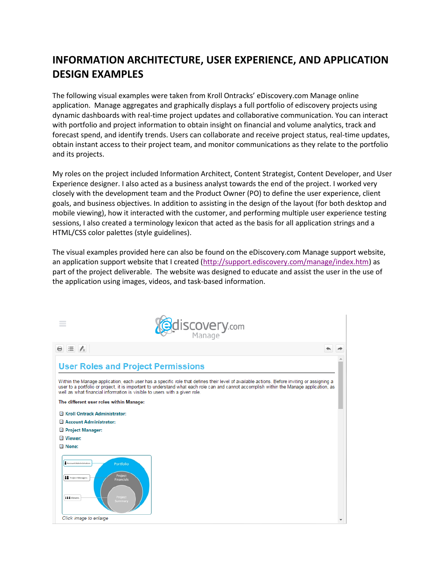# **INFORMATION ARCHITECTURE, USER EXPERIENCE, AND APPLICATION DESIGN EXAMPLES**

The following visual examples were taken from Kroll Ontracks' eDiscovery.com Manage online application. Manage aggregates and graphically displays a full portfolio of ediscovery projects using dynamic dashboards with real-time project updates and collaborative communication. You can interact with portfolio and project information to obtain insight on financial and volume analytics, track and forecast spend, and identify trends. Users can collaborate and receive project status, real-time updates, obtain instant access to their project team, and monitor communications as they relate to the portfolio and its projects.

My roles on the project included Information Architect, Content Strategist, Content Developer, and User Experience designer. I also acted as a business analyst towards the end of the project. I worked very closely with the development team and the Product Owner (PO) to define the user experience, client goals, and business objectives. In addition to assisting in the design of the layout (for both desktop and mobile viewing), how it interacted with the customer, and performing multiple user experience testing sessions, I also created a terminology lexicon that acted as the basis for all application strings and a HTML/CSS color palettes (style guidelines).

The visual examples provided here can also be found on the eDiscovery.com Manage support website, an application support website that I created [\(http://support.ediscovery.com/manage/index.htm\)](http://support.ediscovery.com/manage/index.htm) as part of the project deliverable. The website was designed to educate and assist the user in the use of the application using images, videos, and task-based information.

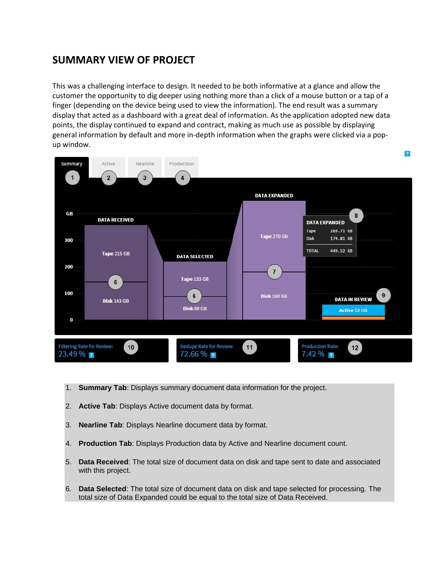#### **SUMMARY VIEW OF PROJECT**

This was a challenging interface to design. It needed to be both informative at a glance and allow the customer the opportunity to dig deeper using nothing more than a click of a mouse button or a tap of a finger (depending on the device being used to view the information). The end result was a summary display that acted as a dashboard with a great deal of information. As the application adopted new data points, the display continued to expand and contract, making as much use as possible by displaying general information by default and more in-depth information when the graphs were clicked via a popup window.



- 1. **Summary Tab**: Displays summary document data information for the project.
- 2. **Active Tab**: Displays Active document data by format.
- 3. **Nearline Tab**: Displays Nearline document data by format.
- 4. **Production Tab**: Displays Production data by Active and Nearline document count.
- 5. **Data Received**: The total size of document data on disk and tape sent to date and associated with this project.
- 6. **Data Selected**: The total size of document data on disk and tape selected for processing. The total size of Data Expanded could be equal to the total size of Data Received.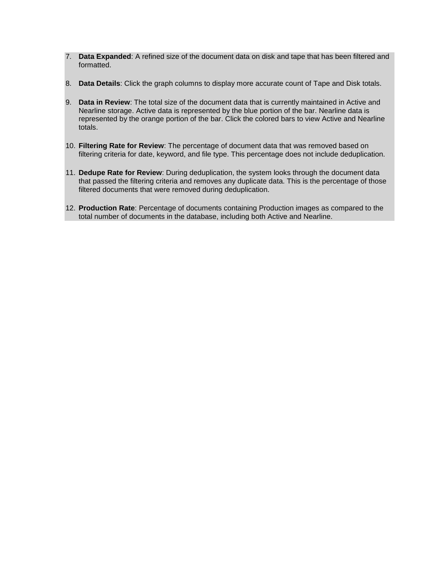- 7. **Data Expanded**: A refined size of the document data on disk and tape that has been filtered and formatted.
- 8. **Data Details**: Click the graph columns to display more accurate count of Tape and Disk totals.
- 9. **Data in Review**: The total size of the document data that is currently maintained in Active and Nearline storage. Active data is represented by the blue portion of the bar. Nearline data is represented by the orange portion of the bar. Click the colored bars to view Active and Nearline totals.
- 10. **Filtering Rate for Review**: The percentage of document data that was removed based on filtering criteria for date, keyword, and file type. This percentage does not include deduplication.
- 11. **Dedupe Rate for Review**: During deduplication, the system looks through the document data that passed the filtering criteria and removes any duplicate data. This is the percentage of those filtered documents that were removed during deduplication.
- 12. **Production Rate**: Percentage of documents containing Production images as compared to the total number of documents in the database, including both Active and Nearline.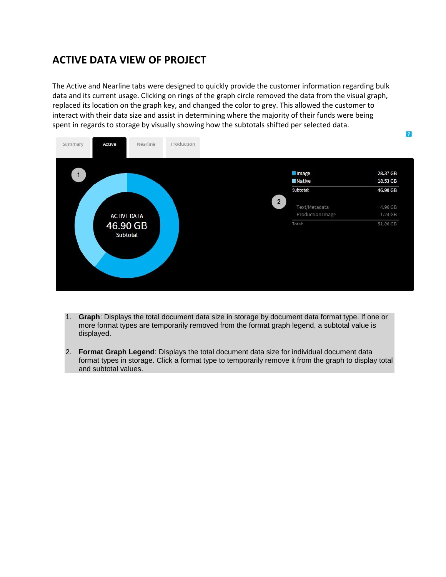## **ACTIVE DATA VIEW OF PROJECT**

The Active and Nearline tabs were designed to quickly provide the customer information regarding bulk data and its current usage. Clicking on rings of the graph circle removed the data from the visual graph, replaced its location on the graph key, and changed the color to grey. This allowed the customer to interact with their data size and assist in determining where the majority of their funds were being spent in regards to storage by visually showing how the subtotals shifted per selected data.



- 1. **Graph**: Displays the total document data size in storage by document data format type. If one or more format types are temporarily removed from the format graph legend, a subtotal value is displayed.
- 2. **Format Graph Legend**: Displays the total document data size for individual document data format types in storage. Click a format type to temporarily remove it from the graph to display total and subtotal values.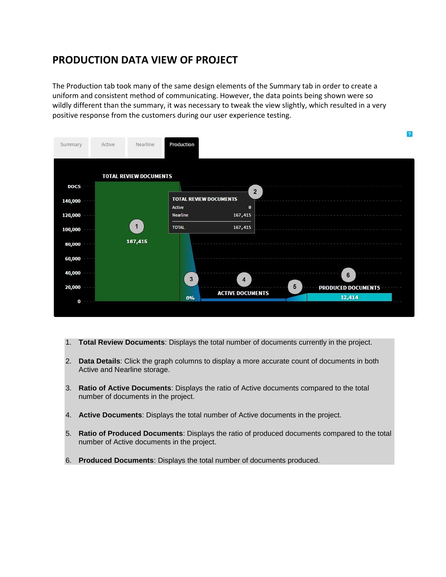#### **PRODUCTION DATA VIEW OF PROJECT**

The Production tab took many of the same design elements of the Summary tab in order to create a uniform and consistent method of communicating. However, the data points being shown were so wildly different than the summary, it was necessary to tweak the view slightly, which resulted in a very positive response from the customers during our user experience testing.

| Production<br>Nearline<br>Active<br>Summary<br><b>TOTAL REVIEW DOCUMENTS</b><br>DOCS<br>$\overline{2}$<br><b>TOTAL REVIEW DOCUMENTS</b><br>140,000<br>Active<br>ø<br>120,000<br>Nearline<br>167,415<br>$\mathbf{1}$<br><b>TOTAL</b><br>167,415<br>100,000 |  |
|-----------------------------------------------------------------------------------------------------------------------------------------------------------------------------------------------------------------------------------------------------------|--|
|                                                                                                                                                                                                                                                           |  |
|                                                                                                                                                                                                                                                           |  |
|                                                                                                                                                                                                                                                           |  |
|                                                                                                                                                                                                                                                           |  |
|                                                                                                                                                                                                                                                           |  |
|                                                                                                                                                                                                                                                           |  |
|                                                                                                                                                                                                                                                           |  |
| 167,415<br>80,000                                                                                                                                                                                                                                         |  |
| 60,000                                                                                                                                                                                                                                                    |  |
| 40,000<br>$6\phantom{1}$<br>3<br>$\boldsymbol{4}$                                                                                                                                                                                                         |  |
| 5<br>20,000<br><b>PRODUCED DOCUMENTS</b><br><b>ACTIVE DOCUMENTS</b>                                                                                                                                                                                       |  |
| 12,414<br>0%<br>$\bf{0}$                                                                                                                                                                                                                                  |  |

m

- 1. **Total Review Documents**: Displays the total number of documents currently in the project.
- 2. **Data Details**: Click the graph columns to display a more accurate count of documents in both Active and Nearline storage.
- 3. **Ratio of Active Documents**: Displays the ratio of Active documents compared to the total number of documents in the project.
- 4. **Active Documents**: Displays the total number of Active documents in the project.
- 5. **Ratio of Produced Documents**: Displays the ratio of produced documents compared to the total number of Active documents in the project.
- 6. **Produced Documents**: Displays the total number of documents produced.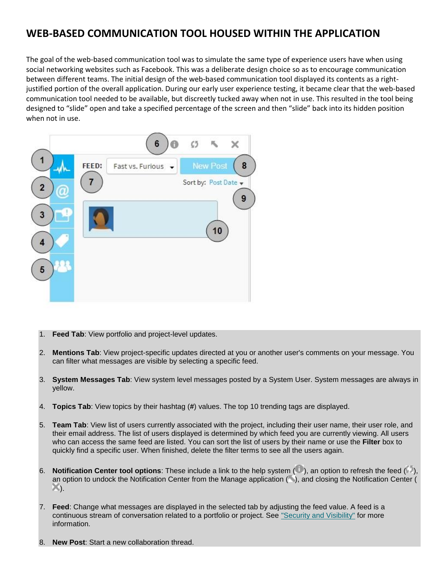# **WEB-BASED COMMUNICATION TOOL HOUSED WITHIN THE APPLICATION**

The goal of the web-based communication tool was to simulate the same type of experience users have when using social networking websites such as Facebook. This was a deliberate design choice so as to encourage communication between different teams. The initial design of the web-based communication tool displayed its contents as a rightjustified portion of the overall application. During our early user experience testing, it became clear that the web-based communication tool needed to be available, but discreetly tucked away when not in use. This resulted in the tool being designed to "slide" open and take a specified percentage of the screen and then "slide" back into its hidden position when not in use.



- 1. **Feed Tab**: View portfolio and project-level updates.
- 2. **Mentions Tab**: View project-specific updates directed at you or another user's comments on your message. You can filter what messages are visible by selecting a specific feed.
- 3. **System Messages Tab**: View system level messages posted by a System User. System messages are always in yellow.
- 4. **Topics Tab**: View topics by their hashtag (**#**) values. The top 10 trending tags are displayed.
- 5. **Team Tab**: View list of users currently associated with the project, including their user name, their user role, and their email address. The list of users displayed is determined by which feed you are currently viewing. All users who can access the same feed are listed. You can sort the list of users by their name or use the **Filter** box to quickly find a specific user. When finished, delete the filter terms to see all the users again.
- 6. **Notification Center tool options**: These include a link to the help system (**i**), an option to refresh the feed (**i**), an option to undock the Notification Center from the Manage application ( ), and closing the Notification Center (  $\mathbb{X}$ ).
- 7. **Feed**: Change what messages are displayed in the selected tab by adjusting the feed value. A feed is a continuous stream of conversation related to a portfolio or project. See ["Security and](http://support.ediscovery.com/manage/portfolio/collaborate-via-notification-center.htm#Security) Visibility" for more information.
- 8. **New Post**: Start a new collaboration thread.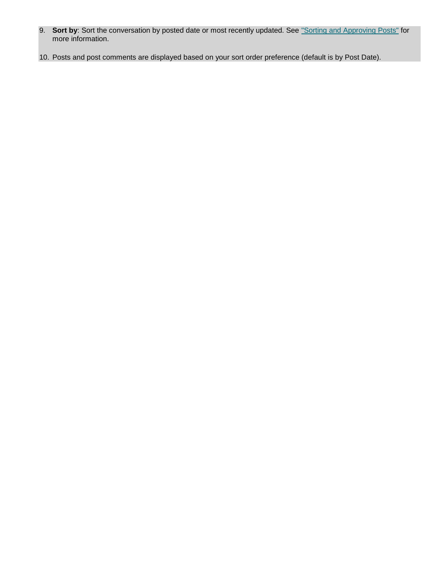- 9. **Sort by**: Sort the conversation by posted date or most recently updated. See ["Sorting and Approving Posts"](http://support.ediscovery.com/manage/portfolio/collaborate-via-notification-center.htm#Sorting) for more information.
- 10. Posts and post comments are displayed based on your sort order preference (default is by Post Date).